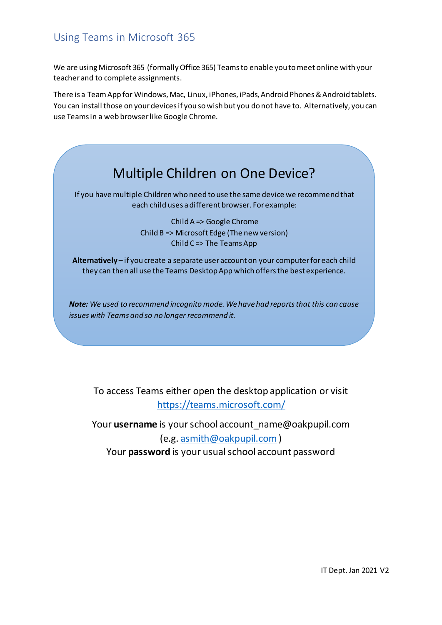## Using Teams in Microsoft 365

We are using Microsoft 365 (formally Office 365) Teams to enable you to meet online with your teacher and to complete assignments.

There is a Team App for Windows, Mac, Linux, iPhones, iPads, Android Phones & Android tablets. You can install those on your devices if you so wish but you do not have to. Alternatively, you can use Teams in a web browser like Google Chrome.



If you have multiple Children who need to use the same device we recommend that each child uses a different browser. For example:

> Child A => Google Chrome Child B => Microsoft Edge (The new version) Child C => The Teams App

**Alternatively** – if you create a separate user account on your computer for each child they can then all use the Teams Desktop App which offers the best experience.

*Note: We used to recommend incognito mode. We have had reports that this can cause issues with Teams and so no longer recommend it.*

To access Teams either open the desktop application or visit <https://teams.microsoft.com/>

Your **username** is your school account\_name@oakpupil.com (e.g. [asmith@oakpupil.com](mailto:asmith@oakpupil.com)) Your **password** is your usual school account password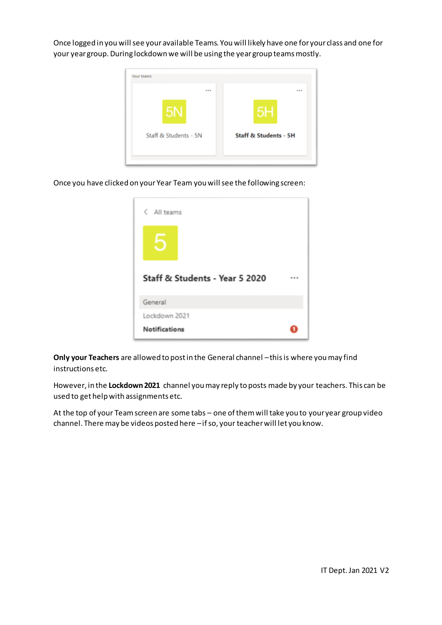Once logged in you will see your available Teams. You will likely have one for your class and one for your year group. During lockdown we will be using the year group teams mostly.



Once you have clicked on your Year Team you will see the following screen:

| < All teams                        |  |
|------------------------------------|--|
|                                    |  |
| Staff & Students - Year 5 2020<br> |  |
| General                            |  |
| Lockdown 2021                      |  |
| <b>Notifications</b>               |  |

**Only your Teachers** are allowed to post in the General channel –this is where you may find instructions etc.

However, in the **Lockdown 2021** channel you may reply to posts made by your teachers. This can be used to get help with assignments etc.

At the top of your Team screen are some tabs – one of them will take you to your year group video channel. There may be videos posted here –if so, your teacher will let you know.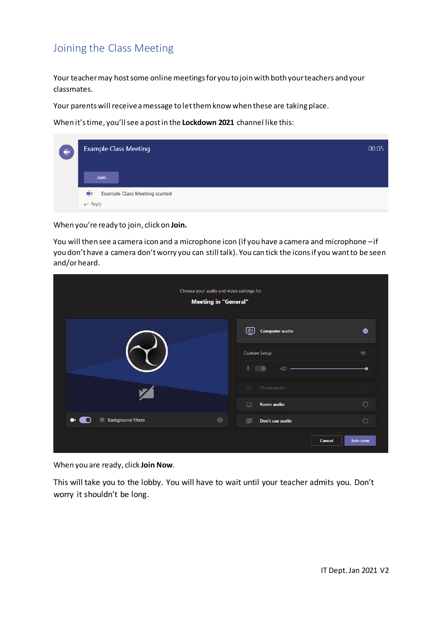## Joining the Class Meeting

Your teacher may host some online meetings for you to join with both your teachers and your classmates.

Your parents will receive a message to let them know when these are taking place.

When it's time, you'll see a post in the **Lockdown 2021** channel like this:

| $\hat{\mathbf{e}}$ | <b>Example Class Meeting</b>              | 00:05 |
|--------------------|-------------------------------------------|-------|
|                    | Join                                      |       |
|                    | Û<br><b>Example Class Meeting started</b> |       |
|                    | $\leftarrow$ Reply                        |       |

When you're ready to join, click on **Join.**

You will then see a camera icon and a microphone icon (if you have a camera and microphone –if you don't have a camera don't worry you can still talk). You can tick the icons if you want to be seen and/or heard.

| Choose your audio and video settings for<br><b>Meeting in "General"</b> |                                                                     |                                |  |
|-------------------------------------------------------------------------|---------------------------------------------------------------------|--------------------------------|--|
|                                                                         | 靊<br>Computer audio                                                 | $\bullet$                      |  |
|                                                                         | <b>Custom Setup</b><br>$\mathbf{U}_i$<br>$\triangleleft$<br>$\circ$ | $\uparrow\downarrow\downarrow$ |  |
|                                                                         | 0.51<br>Phone audio                                                 |                                |  |
|                                                                         | Room audio<br>$\qquad \qquad \Box$                                  | $\circ$                        |  |
| త్ర<br><b>※ Background filters</b><br>$\mathbf{\alpha}$                 | 図<br>Don't use audio                                                | $\circ$                        |  |
|                                                                         | Cancel                                                              | Join now                       |  |

When you are ready, click **Join Now**.

This will take you to the lobby. You will have to wait until your teacher admits you. Don't worry it shouldn't be long.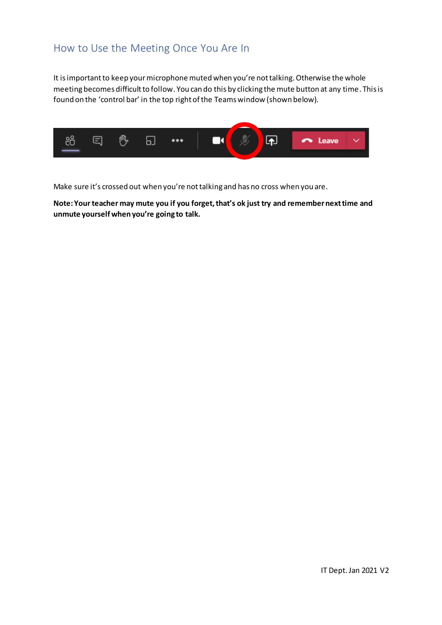## How to Use the Meeting Once You Are In

It is important to keep your microphone muted when you're not talking. Otherwise the whole meeting becomes difficult to follow. You can do this by clicking the mute button at any time. This is found on the 'control bar' in the top right of the Teams window (shown below).



Make sure it's crossed out when you're not talking and has no cross when you are.

**Note: Your teacher may mute you if you forget, that's ok just try and remember next time and unmute yourself when you're going to talk.**